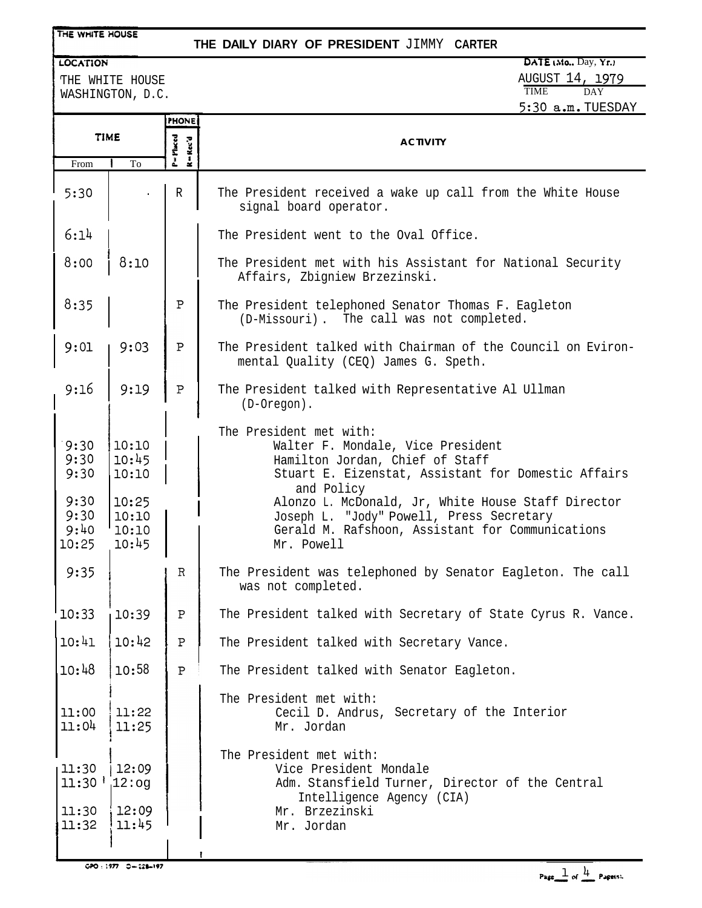### THE WHITE HOUSE

### **THE DAILY DIARY OF PRESIDENT** JIMMY **CARTER**

LOCATION THE WHITE HOUSE

WASHINGTON, D.C.

| <b>PHONE</b><br><b>TIME</b><br>P=Placed<br>$R = \text{Rec}'d$<br><b>ACTIVITY</b><br>To<br>From                                                                                                                                                                                                                                                                                                                                                                   |  |
|------------------------------------------------------------------------------------------------------------------------------------------------------------------------------------------------------------------------------------------------------------------------------------------------------------------------------------------------------------------------------------------------------------------------------------------------------------------|--|
|                                                                                                                                                                                                                                                                                                                                                                                                                                                                  |  |
|                                                                                                                                                                                                                                                                                                                                                                                                                                                                  |  |
| 5:30<br>$\mathbb R$<br>The President received a wake up call from the White House<br>signal board operator.                                                                                                                                                                                                                                                                                                                                                      |  |
| 6:14<br>The President went to the Oval Office.                                                                                                                                                                                                                                                                                                                                                                                                                   |  |
| 8:00<br>8:10<br>The President met with his Assistant for National Security<br>Affairs, Zbigniew Brzezinski.                                                                                                                                                                                                                                                                                                                                                      |  |
| 8:35<br>$\mathbf P$<br>The President telephoned Senator Thomas F. Eagleton<br>(D-Missouri). The call was not completed.                                                                                                                                                                                                                                                                                                                                          |  |
| 9:01<br>9:03<br>$\mathbf P$<br>The President talked with Chairman of the Council on Eviron-<br>mental Quality (CEQ) James G. Speth.                                                                                                                                                                                                                                                                                                                              |  |
| 9:16<br>9:19<br>$\mathbf P$<br>The President talked with Representative Al Ullman<br>$(D-Oregon)$ .                                                                                                                                                                                                                                                                                                                                                              |  |
| The President met with:<br>10:10<br>9:30<br>Walter F. Mondale, Vice President<br>10:45<br>9:30<br>Hamilton Jordan, Chief of Staff<br>9:30<br>10:10<br>Stuart E. Eizenstat, Assistant for Domestic Affairs<br>and Policy<br>9:30<br>10:25<br>Alonzo L. McDonald, Jr, White House Staff Director<br>9:30<br>10:10<br>Joseph L. "Jody" Powell, Press Secretary<br>9:40<br>10:10<br>Gerald M. Rafshoon, Assistant for Communications<br>10:45<br>10:25<br>Mr. Powell |  |
| 9:35<br>$\mathbb{R}$<br>The President was telephoned by Senator Eagleton. The call<br>was not completed.                                                                                                                                                                                                                                                                                                                                                         |  |
| '10:33<br>10:39<br>$\mathbf P$<br>The President talked with Secretary of State Cyrus R. Vance.                                                                                                                                                                                                                                                                                                                                                                   |  |
| 10:41<br>10:42<br>$\, {\bf P}$<br>The President talked with Secretary Vance.                                                                                                                                                                                                                                                                                                                                                                                     |  |
| 10:48<br>10:58<br>$\, {\bf P}$<br>The President talked with Senator Eagleton.                                                                                                                                                                                                                                                                                                                                                                                    |  |
| The President met with:<br>11:00<br>11:22<br>Cecil D. Andrus, Secretary of the Interior<br>11:04<br>11:25<br>Mr. Jordan                                                                                                                                                                                                                                                                                                                                          |  |
| The President met with:<br>12:09<br>Vice President Mondale<br>11:30<br>$11:30$   $12:og$<br>Adm. Stansfield Turner, Director of the Central<br>Intelligence Agency (CIA)                                                                                                                                                                                                                                                                                         |  |
| 12:09<br>11:30<br>Mr. Brzezinski<br>11:45<br>11:32<br>Mr. Jordan                                                                                                                                                                                                                                                                                                                                                                                                 |  |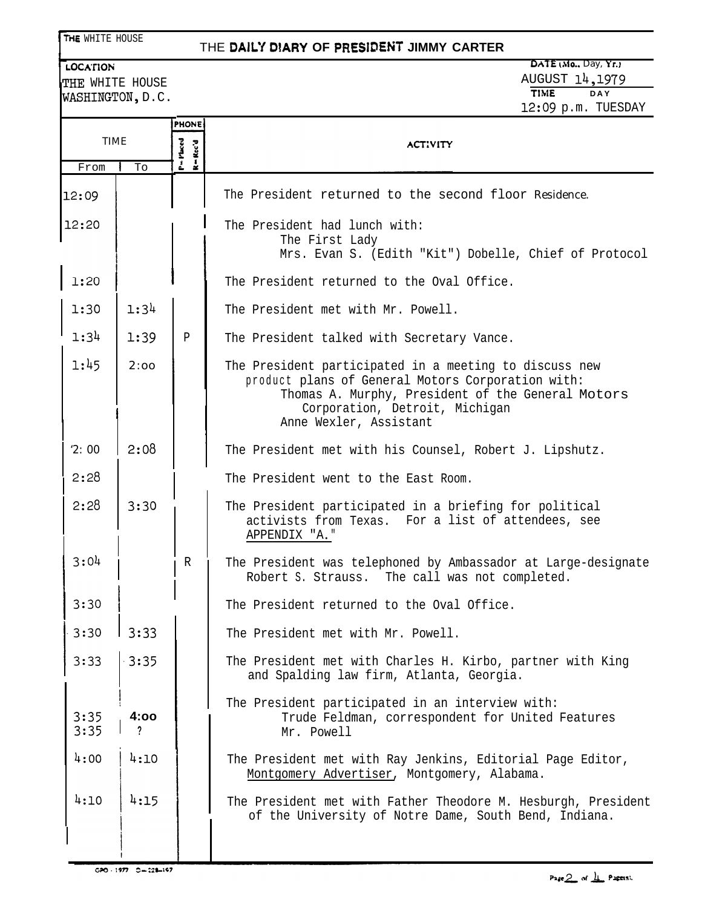## THE DAILY DIARY OF PRESIDENT JIMMY CARTER

WASHINGTON, D.C.

# **LOCATION** DATE (Mo., Day, Yr.) THE WHITE HOUSE<br>THE WHITE HOUSE AUGUST 14, 1979 12:Og p.m. TUESDAY

|              |         | <b>PHONE</b>            |                                                                                                                                                                                                                              |
|--------------|---------|-------------------------|------------------------------------------------------------------------------------------------------------------------------------------------------------------------------------------------------------------------------|
| <b>TIME</b>  |         | P=Placed<br>$=$ Rec'd   | <b>ACTIVITY</b>                                                                                                                                                                                                              |
| From         | To      | $\overline{\mathbf{x}}$ |                                                                                                                                                                                                                              |
| 12:09        |         |                         | The President returned to the second floor Residence.                                                                                                                                                                        |
| 12:20        |         |                         | The President had lunch with:<br>The First Lady<br>Mrs. Evan S. (Edith "Kit") Dobelle, Chief of Protocol                                                                                                                     |
| 1:20         |         |                         | The President returned to the Oval Office.                                                                                                                                                                                   |
| 1:30         | 1:34    |                         | The President met with Mr. Powell.                                                                                                                                                                                           |
| 1:34         | 1:39    | P                       | The President talked with Secretary Vance.                                                                                                                                                                                   |
| 1:45         | 2:00    |                         | The President participated in a meeting to discuss new<br>product plans of General Motors Corporation with:<br>Thomas A. Murphy, President of the General Motors<br>Corporation, Detroit, Michigan<br>Anne Wexler, Assistant |
| 2:00         | 2:08    |                         | The President met with his Counsel, Robert J. Lipshutz.                                                                                                                                                                      |
| 2:28         |         |                         | The President went to the East Room.                                                                                                                                                                                         |
| 2:28         | 3:30    |                         | The President participated in a briefing for political<br>activists from Texas. For a list of attendees, see<br>APPENDIX "A."                                                                                                |
| 3:04         |         | $\mathbb{R}$            | The President was telephoned by Ambassador at Large-designate<br>Robert S. Strauss. The call was not completed.                                                                                                              |
| 3:30         |         |                         | The President returned to the Oval Office.                                                                                                                                                                                   |
| 3:30         | 3:33    |                         | The President met with Mr. Powell.                                                                                                                                                                                           |
| 3:33         | $-3:35$ |                         | The President met with Charles H. Kirbo, partner with King<br>and Spalding law firm, Atlanta, Georgia.                                                                                                                       |
| 3:35<br>3:35 | 4:00    |                         | The President participated in an interview with:<br>Trude Feldman, correspondent for United Features<br>Mr. Powell                                                                                                           |
| 4:00         | 4:10    |                         | The President met with Ray Jenkins, Editorial Page Editor,<br>Montgomery Advertiser, Montgomery, Alabama.                                                                                                                    |
| 4:10         | 4:15    |                         | The President met with Father Theodore M. Hesburgh, President<br>of the University of Notre Dame, South Bend, Indiana.                                                                                                       |

GPO - 1977 0-228-197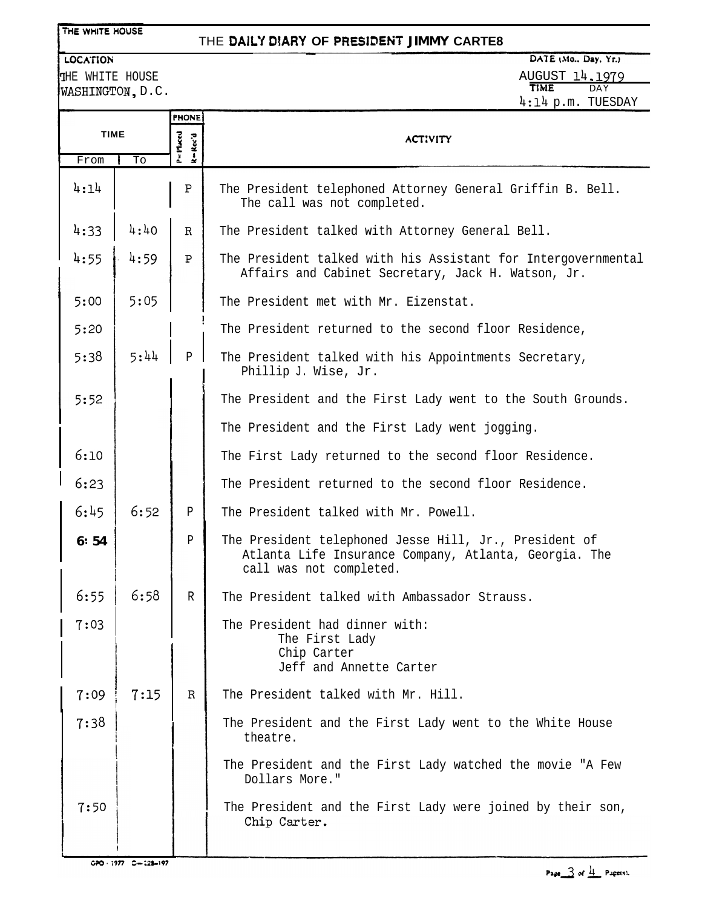#### THE WHITE HOUSE

# THE DAILY DIARY OF PRESIDENT JIMMY CARTE8

## LOCATION

THE WHITE HOUSE WASHINGTON, D.C.

### DATE (Mo., Day, Yr.) A<u>UGUST 14,1979</u> TIME DAY 4:14 p.m. TUESDAY

|             |      | <b>PHONE</b>      |                                                                                                                                            |
|-------------|------|-------------------|--------------------------------------------------------------------------------------------------------------------------------------------|
| <b>TIME</b> |      | P=Macd<br>k=Rec'd | <b>ACTIVITY</b>                                                                                                                            |
| From        | To   |                   |                                                                                                                                            |
| 4:14        |      | $\, {\bf P}$      | The President telephoned Attorney General Griffin B. Bell.<br>The call was not completed.                                                  |
| 4:33        | 4:40 | R                 | The President talked with Attorney General Bell.                                                                                           |
| 4:55        | 4:59 | P                 | The President talked with his Assistant for Intergovernmental<br>Affairs and Cabinet Secretary, Jack H. Watson, Jr.                        |
| 5:00        | 5:05 |                   | The President met with Mr. Eizenstat.                                                                                                      |
| 5:20        |      |                   | The President returned to the second floor Residence,                                                                                      |
| 5:38        | 5:44 | $\mathbf{P}$      | The President talked with his Appointments Secretary,<br>Phillip J. Wise, Jr.                                                              |
| 5:52        |      |                   | The President and the First Lady went to the South Grounds.                                                                                |
|             |      |                   | The President and the First Lady went jogging.                                                                                             |
| 6:10        |      |                   | The First Lady returned to the second floor Residence.                                                                                     |
| 6:23        |      |                   | The President returned to the second floor Residence.                                                                                      |
| 6:45        | 6:52 | Р                 | The President talked with Mr. Powell.                                                                                                      |
| 6:54        |      | $\mathbf{P}$      | The President telephoned Jesse Hill, Jr., President of<br>Atlanta Life Insurance Company, Atlanta, Georgia. The<br>call was not completed. |
| 6:55        | 6:58 | $\mathbb{R}$      | The President talked with Ambassador Strauss.                                                                                              |
| 7:03        |      |                   | The President had dinner with:<br>The First Lady<br>Chip Carter<br>Jeff and Annette Carter                                                 |
| 7:09        | 7:15 | $\mathbb{R}$      | The President talked with Mr. Hill.                                                                                                        |
| 7:38        |      |                   | The President and the First Lady went to the White House<br>theatre.                                                                       |
|             |      |                   | The President and the First Lady watched the movie "A Few<br>Dollars More."                                                                |
| 7:50        |      |                   | The President and the First Lady were joined by their son,<br>Chip Carter.                                                                 |